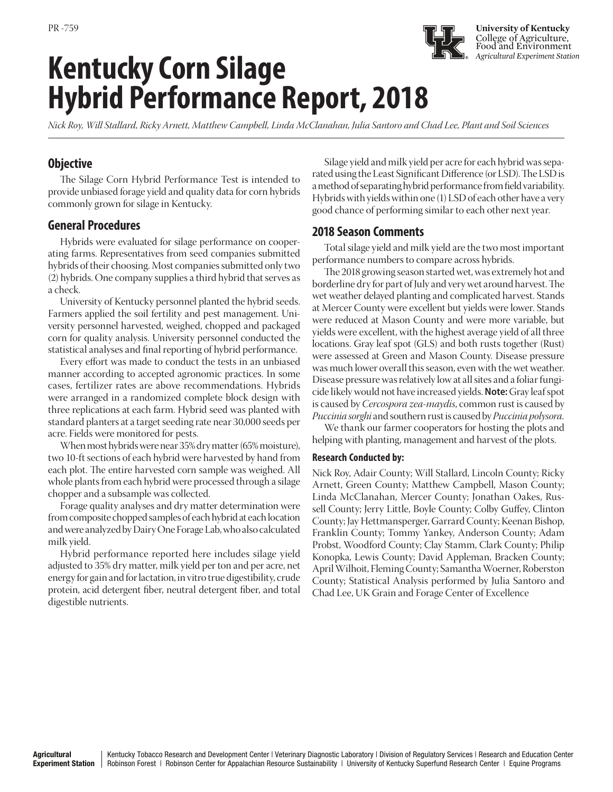# **Kentucky Corn Silage Hybrid Performance Report, 2018**

*Nick Roy, Will Stallard, Ricky Arnett, Matthew Campbell, Linda McClanahan, Julia Santoro and Chad Lee, Plant and Soil Sciences*

# **Objective**

The Silage Corn Hybrid Performance Test is intended to provide unbiased forage yield and quality data for corn hybrids commonly grown for silage in Kentucky.

## **General Procedures**

Hybrids were evaluated for silage performance on cooperating farms. Representatives from seed companies submitted hybrids of their choosing. Most companies submitted only two (2) hybrids. One company supplies a third hybrid that serves as a check.

University of Kentucky personnel planted the hybrid seeds. Farmers applied the soil fertility and pest management. University personnel harvested, weighed, chopped and packaged corn for quality analysis. University personnel conducted the statistical analyses and final reporting of hybrid performance.

Every effort was made to conduct the tests in an unbiased manner according to accepted agronomic practices. In some cases, fertilizer rates are above recommendations. Hybrids were arranged in a randomized complete block design with three replications at each farm. Hybrid seed was planted with standard planters at a target seeding rate near 30,000 seeds per acre. Fields were monitored for pests.

When most hybrids were near 35% dry matter (65% moisture), two 10-ft sections of each hybrid were harvested by hand from each plot. The entire harvested corn sample was weighed. All whole plants from each hybrid were processed through a silage chopper and a subsample was collected.

Forage quality analyses and dry matter determination were from composite chopped samples of each hybrid at each location and were analyzed by Dairy One Forage Lab, who also calculated milk yield.

Hybrid performance reported here includes silage yield adjusted to 35% dry matter, milk yield per ton and per acre, net energy for gain and for lactation, in vitro true digestibility, crude protein, acid detergent fiber, neutral detergent fiber, and total digestible nutrients.

Silage yield and milk yield per acre for each hybrid was separated using the Least Significant Difference (or LSD). The LSD is a method of separating hybrid performance from field variability. Hybrids with yields within one (1) LSD of each other have a very good chance of performing similar to each other next year.

**University of Kentucky** College of Agriculture, Food and Environment *Agricultural Experiment Station*

## **2018 Season Comments**

Total silage yield and milk yield are the two most important performance numbers to compare across hybrids.

The 2018 growing season started wet, was extremely hot and borderline dry for part of July and very wet around harvest. The wet weather delayed planting and complicated harvest. Stands at Mercer County were excellent but yields were lower. Stands were reduced at Mason County and were more variable, but yields were excellent, with the highest average yield of all three locations. Gray leaf spot (GLS) and both rusts together (Rust) were assessed at Green and Mason County. Disease pressure was much lower overall this season, even with the wet weather. Disease pressure was relatively low at all sites and a foliar fungicide likely would not have increased yields. **Note:** Gray leaf spot is caused by *Cercospora zea-maydis*, common rust is caused by *Puccinia sorghi* and southern rust is caused by *Puccinia polysora.*

We thank our farmer cooperators for hosting the plots and helping with planting, management and harvest of the plots.

## **Research Conducted by:**

Nick Roy, Adair County; Will Stallard, Lincoln County; Ricky Arnett, Green County; Matthew Campbell, Mason County; Linda McClanahan, Mercer County; Jonathan Oakes, Russell County; Jerry Little, Boyle County; Colby Guffey, Clinton County; Jay Hettmansperger, Garrard County; Keenan Bishop, Franklin County; Tommy Yankey, Anderson County; Adam Probst, Woodford County; Clay Stamm, Clark County; Philip Konopka, Lewis County; David Appleman, Bracken County; April Wilhoit, Fleming County; Samantha Woerner, Roberston County; Statistical Analysis performed by Julia Santoro and Chad Lee, UK Grain and Forage Center of Excellence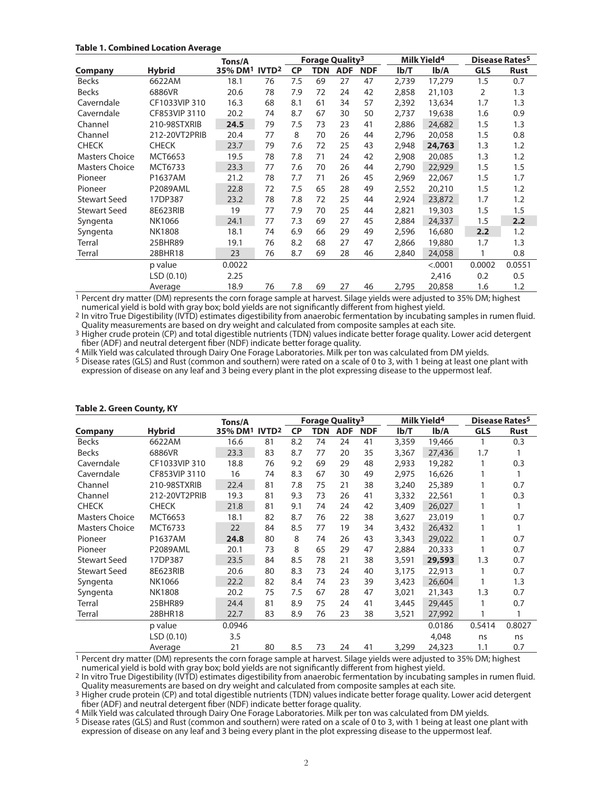## **Table 1. Combined Location Average**

|                       |                | Tons/A              |                   | Forage Quality <sup>3</sup> |     | Milk Yield <sup>4</sup> |            | Disease Rates <sup>5</sup> |         |            |             |
|-----------------------|----------------|---------------------|-------------------|-----------------------------|-----|-------------------------|------------|----------------------------|---------|------------|-------------|
| <b>Company</b>        | <b>Hybrid</b>  | 35% DM <sup>1</sup> | IVTD <sup>2</sup> | <b>CP</b>                   | TDN | <b>ADF</b>              | <b>NDF</b> | Ib/T                       | Ib/A    | <b>GLS</b> | <b>Rust</b> |
| <b>Becks</b>          | 6622AM         | 18.1                | 76                | 7.5                         | 69  | 27                      | 47         | 2,739                      | 17,279  | 1.5        | 0.7         |
| <b>Becks</b>          | 6886VR         | 20.6                | 78                | 7.9                         | 72  | 24                      | 42         | 2,858                      | 21,103  | 2          | 1.3         |
| Caverndale            | CF1033VIP 310  | 16.3                | 68                | 8.1                         | 61  | 34                      | 57         | 2,392                      | 13,634  | 1.7        | 1.3         |
| Caverndale            | CF853VIP 3110  | 20.2                | 74                | 8.7                         | 67  | 30                      | 50         | 2,737                      | 19,638  | 1.6        | 0.9         |
| Channel               | 210-98STXRIB   | 24.5                | 79                | 7.5                         | 73  | 23                      | 41         | 2,886                      | 24,682  | 1.5        | 1.3         |
| Channel               | 212-20VT2PRIB  | 20.4                | 77                | 8                           | 70  | 26                      | 44         | 2,796                      | 20,058  | 1.5        | 0.8         |
| <b>CHECK</b>          | <b>CHECK</b>   | 23.7                | 79                | 7.6                         | 72  | 25                      | 43         | 2,948                      | 24,763  | 1.3        | 1.2         |
| Masters Choice        | MCT6653        | 19.5                | 78                | 7.8                         | 71  | 24                      | 42         | 2,908                      | 20,085  | 1.3        | 1.2         |
| <b>Masters Choice</b> | <b>MCT6733</b> | 23.3                | 77                | 7.6                         | 70  | 26                      | 44         | 2,790                      | 22,929  | 1.5        | 1.5         |
| Pioneer               | P1637AM        | 21.2                | 78                | 7.7                         | 71  | 26                      | 45         | 2,969                      | 22,067  | 1.5        | 1.7         |
| Pioneer               | P2089AML       | 22.8                | 72                | 7.5                         | 65  | 28                      | 49         | 2,552                      | 20,210  | 1.5        | 1.2         |
| <b>Stewart Seed</b>   | 17DP387        | 23.2                | 78                | 7.8                         | 72  | 25                      | 44         | 2,924                      | 23,872  | 1.7        | 1.2         |
| <b>Stewart Seed</b>   | 8E623RIB       | 19                  | 77                | 7.9                         | 70  | 25                      | 44         | 2,821                      | 19,303  | 1.5        | 1.5         |
| Syngenta              | NK1066         | 24.1                | 77                | 7.3                         | 69  | 27                      | 45         | 2,884                      | 24,337  | 1.5        | 2.2         |
| Syngenta              | <b>NK1808</b>  | 18.1                | 74                | 6.9                         | 66  | 29                      | 49         | 2,596                      | 16,680  | 2.2        | 1.2         |
| Terral                | 25BHR89        | 19.1                | 76                | 8.2                         | 68  | 27                      | 47         | 2,866                      | 19,880  | 1.7        | 1.3         |
| Terral                | 28BHR18        | 23                  | 76                | 8.7                         | 69  | 28                      | 46         | 2,840                      | 24,058  |            | 0.8         |
|                       | p value        | 0.0022              |                   |                             |     |                         |            |                            | < .0001 | 0.0002     | 0.0551      |
|                       | LSD (0.10)     | 2.25                |                   |                             |     |                         |            |                            | 2,416   | 0.2        | 0.5         |
|                       | Average        | 18.9                | 76                | 7.8                         | 69  | 27                      | 46         | 2,795                      | 20,858  | 1.6        | 1.2         |

1 Percent dry matter (DM) represents the corn forage sample at harvest. Silage yields were adjusted to 35% DM; highest numerical yield is bold with gray box; bold yields are not significantly different from highest yield.

2 In vitro True Digestibility (IVTD) estimates digestibility from anaerobic fermentation by incubating samples in rumen fluid. Quality measurements are based on dry weight and calculated from composite samples at each site.

<sup>3</sup> Higher crude protein (CP) and total digestible nutrients (TDN) values indicate better forage quality. Lower acid detergent fiber (ADF) and neutral detergent fiber (NDF) indicate better forage quality.

4 Milk Yield was calculated through Dairy One Forage Laboratories. Milk per ton was calculated from DM yields.

5 Disease rates (GLS) and Rust (common and southern) were rated on a scale of 0 to 3, with 1 being at least one plant with expression of disease on any leaf and 3 being every plant in the plot expressing disease to the uppermost leaf.

|                       |                 | Tons/A                                |    |           | <b>Forage Quality3</b> |            |            |       | Milk Yield <sup>4</sup> | Disease Rates <sup>5</sup> |             |
|-----------------------|-----------------|---------------------------------------|----|-----------|------------------------|------------|------------|-------|-------------------------|----------------------------|-------------|
| <b>Company</b>        | <b>Hybrid</b>   | 35% DM <sup>1</sup> IVTD <sup>2</sup> |    | <b>CP</b> | <b>TDN</b>             | <b>ADF</b> | <b>NDF</b> | Ib/T  | Ib/A                    | <b>GLS</b>                 | <b>Rust</b> |
| <b>Becks</b>          | 6622AM          | 16.6                                  | 81 | 8.2       | 74                     | 24         | 41         | 3,359 | 19,466                  |                            | 0.3         |
| <b>Becks</b>          | 6886VR          | 23.3                                  | 83 | 8.7       | 77                     | 20         | 35         | 3,367 | 27,436                  | 1.7                        |             |
| Caverndale            | CF1033VIP 310   | 18.8                                  | 76 | 9.2       | 69                     | 29         | 48         | 2,933 | 19,282                  |                            | 0.3         |
| Caverndale            | CF853VIP 3110   | 16                                    | 74 | 8.3       | 67                     | 30         | 49         | 2,975 | 16,626                  |                            |             |
| Channel               | 210-98STXRIB    | 22.4                                  | 81 | 7.8       | 75                     | 21         | 38         | 3,240 | 25,389                  |                            | 0.7         |
| Channel               | 212-20VT2PRIB   | 19.3                                  | 81 | 9.3       | 73                     | 26         | 41         | 3,332 | 22,561                  |                            | 0.3         |
| <b>CHECK</b>          | <b>CHECK</b>    | 21.8                                  | 81 | 9.1       | 74                     | 24         | 42         | 3,409 | 26,027                  |                            |             |
| <b>Masters Choice</b> | MCT6653         | 18.1                                  | 82 | 8.7       | 76                     | 22         | 38         | 3,627 | 23,019                  |                            | 0.7         |
| <b>Masters Choice</b> | MCT6733         | 22                                    | 84 | 8.5       | 77                     | 19         | 34         | 3,432 | 26,432                  |                            |             |
| Pioneer               | P1637AM         | 24.8                                  | 80 | 8         | 74                     | 26         | 43         | 3,343 | 29,022                  |                            | 0.7         |
| Pioneer               | <b>P2089AML</b> | 20.1                                  | 73 | 8         | 65                     | 29         | 47         | 2,884 | 20,333                  |                            | 0.7         |
| <b>Stewart Seed</b>   | 17DP387         | 23.5                                  | 84 | 8.5       | 78                     | 21         | 38         | 3,591 | 29,593                  | 1.3                        | 0.7         |
| <b>Stewart Seed</b>   | 8E623RIB        | 20.6                                  | 80 | 8.3       | 73                     | 24         | 40         | 3,175 | 22,913                  |                            | 0.7         |
| Syngenta              | NK1066          | 22.2                                  | 82 | 8.4       | 74                     | 23         | 39         | 3,423 | 26,604                  |                            | 1.3         |
| Syngenta              | <b>NK1808</b>   | 20.2                                  | 75 | 7.5       | 67                     | 28         | 47         | 3,021 | 21,343                  | 1.3                        | 0.7         |
| Terral                | 25BHR89         | 24.4                                  | 81 | 8.9       | 75                     | 24         | 41         | 3,445 | 29,445                  |                            | 0.7         |
| Terral                | 28BHR18         | 22.7                                  | 83 | 8.9       | 76                     | 23         | 38         | 3,521 | 27,992                  |                            |             |
|                       | p value         | 0.0946                                |    |           |                        |            |            |       | 0.0186                  | 0.5414                     | 0.8027      |
|                       | LSD(0.10)       | 3.5                                   |    |           |                        |            |            |       | 4,048                   | ns                         | ns          |
|                       | Average         | 21                                    | 80 | 8.5       | 73                     | 24         | 41         | 3,299 | 24,323                  | 1.1                        | 0.7         |

#### **Table 2. Green County, KY**

1 Percent dry matter (DM) represents the corn forage sample at harvest. Silage yields were adjusted to 35% DM; highest numerical yield is bold with gray box; bold yields are not significantly different from highest yield.

2 In vitro True Digestibility (IVTD) estimates digestibility from anaerobic fermentation by incubating samples in rumen fluid. Quality measurements are based on dry weight and calculated from composite samples at each site.

3 Higher crude protein (CP) and total digestible nutrients (TDN) values indicate better forage quality. Lower acid detergent fiber (ADF) and neutral detergent fiber (NDF) indicate better forage quality.

4 Milk Yield was calculated through Dairy One Forage Laboratories. Milk per ton was calculated from DM yields.

5 Disease rates (GLS) and Rust (common and southern) were rated on a scale of 0 to 3, with 1 being at least one plant with expression of disease on any leaf and 3 being every plant in the plot expressing disease to the uppermost leaf.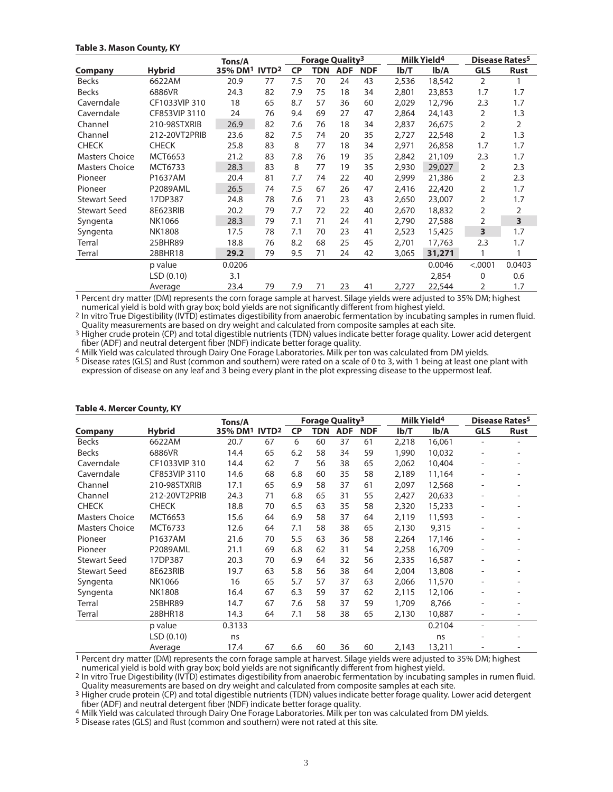### **Table 3. Mason County, KY**

|                       |                 | Tons/A  |                   | Forage Quality <sup>3</sup> |            | Milk Yield <sup>4</sup> |            | Disease Rates <sup>5</sup> |        |            |             |
|-----------------------|-----------------|---------|-------------------|-----------------------------|------------|-------------------------|------------|----------------------------|--------|------------|-------------|
| Company               | <b>Hybrid</b>   | 35% DM1 | IVTD <sup>2</sup> | <b>CP</b>                   | <b>TDN</b> | <b>ADF</b>              | <b>NDF</b> | Ib/T                       | Ib/A   | <b>GLS</b> | <b>Rust</b> |
| <b>Becks</b>          | 6622AM          | 20.9    | 77                | 7.5                         | 70         | 24                      | 43         | 2,536                      | 18,542 | 2          |             |
| <b>Becks</b>          | 6886VR          | 24.3    | 82                | 7.9                         | 75         | 18                      | 34         | 2,801                      | 23,853 | 1.7        | 1.7         |
| Caverndale            | CF1033VIP 310   | 18      | 65                | 8.7                         | 57         | 36                      | 60         | 2,029                      | 12,796 | 2.3        | 1.7         |
| Caverndale            | CF853VIP 3110   | 24      | 76                | 9.4                         | 69         | 27                      | 47         | 2,864                      | 24,143 | 2          | 1.3         |
| Channel               | 210-98STXRIB    | 26.9    | 82                | 7.6                         | 76         | 18                      | 34         | 2,837                      | 26,675 | 2          | 2           |
| Channel               | 212-20VT2PRIB   | 23.6    | 82                | 7.5                         | 74         | 20                      | 35         | 2,727                      | 22,548 | 2          | 1.3         |
| <b>CHECK</b>          | <b>CHECK</b>    | 25.8    | 83                | 8                           | 77         | 18                      | 34         | 2,971                      | 26,858 | 1.7        | 1.7         |
| <b>Masters Choice</b> | MCT6653         | 21.2    | 83                | 7.8                         | 76         | 19                      | 35         | 2,842                      | 21,109 | 2.3        | 1.7         |
| Masters Choice        | MCT6733         | 28.3    | 83                | 8                           | 77         | 19                      | 35         | 2,930                      | 29,027 | 2          | 2.3         |
| Pioneer               | P1637AM         | 20.4    | 81                | 7.7                         | 74         | 22                      | 40         | 2,999                      | 21,386 | 2          | 2.3         |
| Pioneer               | <b>P2089AML</b> | 26.5    | 74                | 7.5                         | 67         | 26                      | 47         | 2,416                      | 22,420 | 2          | 1.7         |
| <b>Stewart Seed</b>   | 17DP387         | 24.8    | 78                | 7.6                         | 71         | 23                      | 43         | 2,650                      | 23,007 | 2          | 1.7         |
| <b>Stewart Seed</b>   | 8E623RIB        | 20.2    | 79                | 7.7                         | 72         | 22                      | 40         | 2,670                      | 18,832 | 2          | 2           |
| Syngenta              | NK1066          | 28.3    | 79                | 7.1                         | 71         | 24                      | 41         | 2,790                      | 27,588 | 2          | 3           |
| Syngenta              | <b>NK1808</b>   | 17.5    | 78                | 7.1                         | 70         | 23                      | 41         | 2,523                      | 15,425 | 3          | 1.7         |
| Terral                | 25BHR89         | 18.8    | 76                | 8.2                         | 68         | 25                      | 45         | 2,701                      | 17,763 | 2.3        | 1.7         |
| Terral                | 28BHR18         | 29.2    | 79                | 9.5                         | 71         | 24                      | 42         | 3,065                      | 31,271 | 1          |             |
|                       | p value         | 0.0206  |                   |                             |            |                         |            |                            | 0.0046 | < .0001    | 0.0403      |
|                       | LSD(0.10)       | 3.1     |                   |                             |            |                         |            |                            | 2,854  | 0          | 0.6         |
|                       | Average         | 23.4    | 79                | 7.9                         | 71         | 23                      | 41         | 2,727                      | 22,544 | 2          | 1.7         |

1 Percent dry matter (DM) represents the corn forage sample at harvest. Silage yields were adjusted to 35% DM; highest numerical yield is bold with gray box; bold yields are not significantly different from highest yield.

2 In vitro True Digestibility (IVTD) estimates digestibility from anaerobic fermentation by incubating samples in rumen fluid. Quality measurements are based on dry weight and calculated from composite samples at each site.

<sup>3</sup> Higher crude protein (CP) and total digestible nutrients (TDN) values indicate better forage quality. Lower acid detergent fiber (ADF) and neutral detergent fiber (NDF) indicate better forage quality.

4 Milk Yield was calculated through Dairy One Forage Laboratories. Milk per ton was calculated from DM yields.

5 Disease rates (GLS) and Rust (common and southern) were rated on a scale of 0 to 3, with 1 being at least one plant with expression of disease on any leaf and 3 being every plant in the plot expressing disease to the uppermost leaf.

|                       |                 | <b>Forage Quality3</b><br>Tons/A      |    |                | Milk Yield <sup>4</sup> |            |            | Disease Rates <sup>5</sup> |        |                          |             |
|-----------------------|-----------------|---------------------------------------|----|----------------|-------------------------|------------|------------|----------------------------|--------|--------------------------|-------------|
| Company               | <b>Hybrid</b>   | 35% DM <sup>1</sup> IVTD <sup>2</sup> |    | <b>CP</b>      | <b>TDN</b>              | <b>ADF</b> | <b>NDF</b> | Ib/T                       | Ib/A   | <b>GLS</b>               | <b>Rust</b> |
| <b>Becks</b>          | 6622AM          | 20.7                                  | 67 | 6              | 60                      | 37         | 61         | 2,218                      | 16,061 |                          |             |
| <b>Becks</b>          | 6886VR          | 14.4                                  | 65 | 6.2            | 58                      | 34         | 59         | 1,990                      | 10,032 |                          |             |
| Caverndale            | CF1033VIP 310   | 14.4                                  | 62 | $\overline{7}$ | 56                      | 38         | 65         | 2,062                      | 10,404 | $\overline{\phantom{a}}$ |             |
| Caverndale            | CF853VIP 3110   | 14.6                                  | 68 | 6.8            | 60                      | 35         | 58         | 2,189                      | 11,164 |                          |             |
| Channel               | 210-98STXRIB    | 17.1                                  | 65 | 6.9            | 58                      | 37         | 61         | 2,097                      | 12,568 |                          |             |
| Channel               | 212-20VT2PRIB   | 24.3                                  | 71 | 6.8            | 65                      | 31         | 55         | 2,427                      | 20,633 |                          |             |
| <b>CHECK</b>          | <b>CHECK</b>    | 18.8                                  | 70 | 6.5            | 63                      | 35         | 58         | 2,320                      | 15,233 |                          |             |
| <b>Masters Choice</b> | MCT6653         | 15.6                                  | 64 | 6.9            | 58                      | 37         | 64         | 2,119                      | 11,593 |                          |             |
| <b>Masters Choice</b> | MCT6733         | 12.6                                  | 64 | 7.1            | 58                      | 38         | 65         | 2,130                      | 9,315  |                          |             |
| Pioneer               | P1637AM         | 21.6                                  | 70 | 5.5            | 63                      | 36         | 58         | 2,264                      | 17,146 | $\overline{\phantom{0}}$ |             |
| Pioneer               | <b>P2089AML</b> | 21.1                                  | 69 | 6.8            | 62                      | 31         | 54         | 2,258                      | 16,709 |                          |             |
| <b>Stewart Seed</b>   | 17DP387         | 20.3                                  | 70 | 6.9            | 64                      | 32         | 56         | 2,335                      | 16,587 |                          |             |
| <b>Stewart Seed</b>   | 8E623RIB        | 19.7                                  | 63 | 5.8            | 56                      | 38         | 64         | 2,004                      | 13,808 |                          |             |
| Syngenta              | NK1066          | 16                                    | 65 | 5.7            | 57                      | 37         | 63         | 2,066                      | 11,570 |                          |             |
| Syngenta              | <b>NK1808</b>   | 16.4                                  | 67 | 6.3            | 59                      | 37         | 62         | 2,115                      | 12,106 |                          |             |
| Terral                | 25BHR89         | 14.7                                  | 67 | 7.6            | 58                      | 37         | 59         | 1,709                      | 8,766  |                          |             |
| Terral                | 28BHR18         | 14.3                                  | 64 | 7.1            | 58                      | 38         | 65         | 2,130                      | 10,887 | $\overline{\phantom{a}}$ |             |
|                       | p value         | 0.3133                                |    |                |                         |            |            |                            | 0.2104 |                          |             |
|                       | LSD(0.10)       | ns                                    |    |                |                         |            |            |                            | ns     |                          |             |
|                       | Average         | 17.4                                  | 67 | 6.6            | 60                      | 36         | 60         | 2,143                      | 13,211 |                          |             |

#### **Table 4. Mercer County, KY**

1 Percent dry matter (DM) represents the corn forage sample at harvest. Silage yields were adjusted to 35% DM; highest numerical yield is bold with gray box; bold yields are not significantly different from highest yield.

2 In vitro True Digestibility (IVTD) estimates digestibility from anaerobic fermentation by incubating samples in rumen fluid. Quality measurements are based on dry weight and calculated from composite samples at each site.

3 Higher crude protein (CP) and total digestible nutrients (TDN) values indicate better forage quality. Lower acid detergent fiber (ADF) and neutral detergent fiber (NDF) indicate better forage quality.

4 Milk Yield was calculated through Dairy One Forage Laboratories. Milk per ton was calculated from DM yields.

5 Disease rates (GLS) and Rust (common and southern) were not rated at this site.